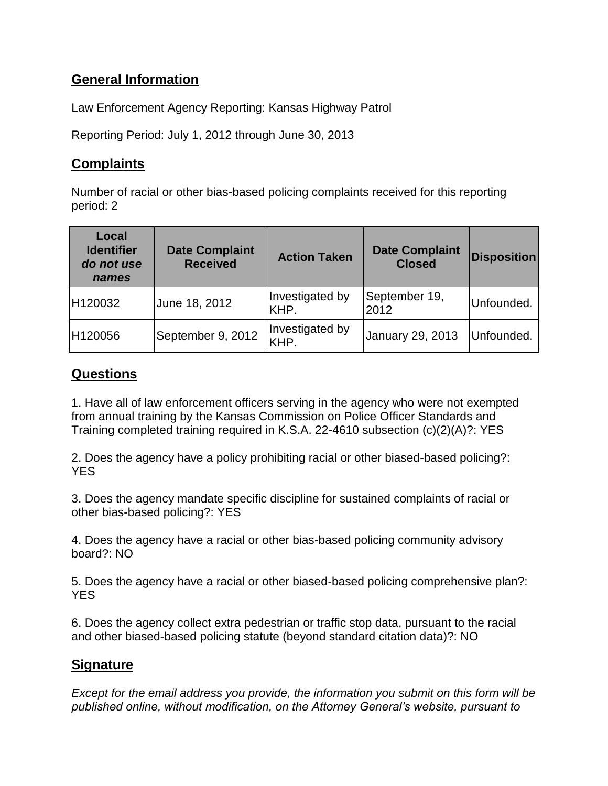## **General Information**

Law Enforcement Agency Reporting: Kansas Highway Patrol

Reporting Period: July 1, 2012 through June 30, 2013

## **Complaints**

Number of racial or other bias-based policing complaints received for this reporting period: 2

| Local<br><b>Identifier</b><br>do not use<br>names | <b>Date Complaint</b><br><b>Received</b> | <b>Action Taken</b>     | <b>Date Complaint</b><br><b>Closed</b> | <b>Disposition</b> |
|---------------------------------------------------|------------------------------------------|-------------------------|----------------------------------------|--------------------|
| H120032                                           | June 18, 2012                            | Investigated by<br>KHP. | September 19,<br>2012                  | Unfounded.         |
| H120056                                           | September 9, 2012                        | Investigated by<br>KHP. | January 29, 2013                       | Unfounded.         |

## **Questions**

1. Have all of law enforcement officers serving in the agency who were not exempted from annual training by the Kansas Commission on Police Officer Standards and Training completed training required in K.S.A. 22-4610 subsection (c)(2)(A)?: YES

2. Does the agency have a policy prohibiting racial or other biased-based policing?: YES

3. Does the agency mandate specific discipline for sustained complaints of racial or other bias-based policing?: YES

4. Does the agency have a racial or other bias-based policing community advisory board?: NO

5. Does the agency have a racial or other biased-based policing comprehensive plan?: **YES** 

6. Does the agency collect extra pedestrian or traffic stop data, pursuant to the racial and other biased-based policing statute (beyond standard citation data)?: NO

## **Signature**

*Except for the email address you provide, the information you submit on this form will be published online, without modification, on the Attorney General's website, pursuant to*